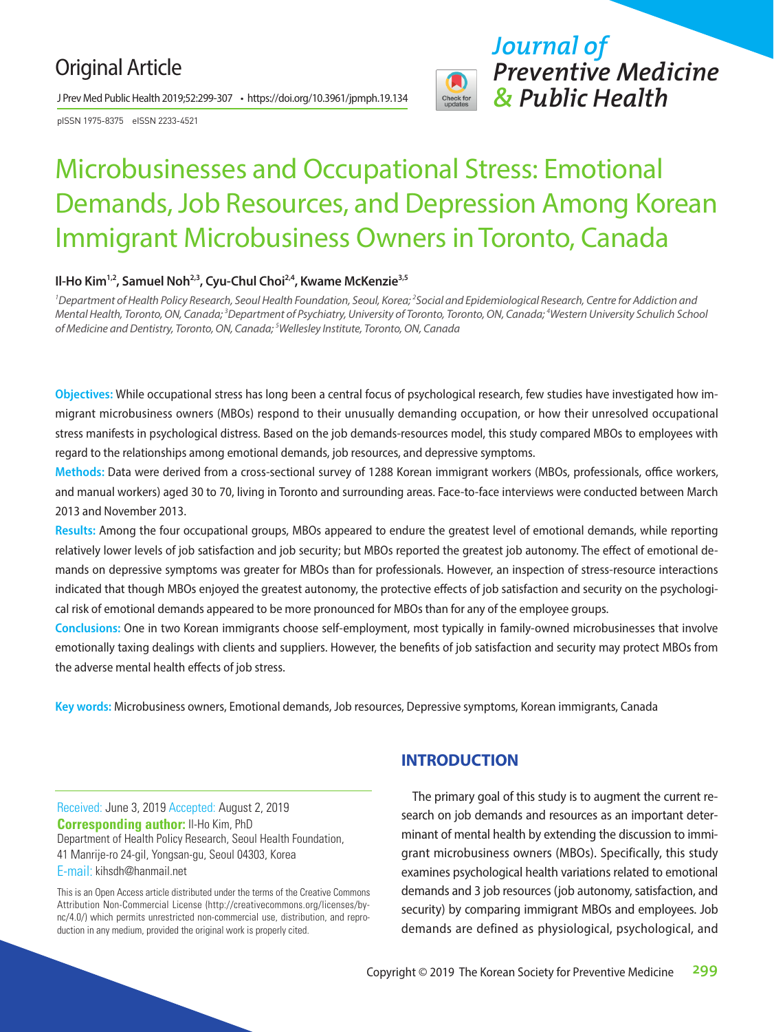## Original Article

J Prev Med Public Health 2019;52:299-307 • https://doi.org/10.3961/jpmph.19.134

pISSN 1975-8375 eISSN 2233-4521



*Journal of Preventive Medicine & Public Health*

# Microbusinesses and Occupational Stress: Emotional Demands, Job Resources, and Depression Among Korean Immigrant Microbusiness Owners in Toronto, Canada

#### Il-Ho Kim<sup>1,2</sup>, Samuel Noh<sup>2,3</sup>, Cyu-Chul Choi<sup>2,4</sup>, Kwame McKenzie<sup>3,5</sup>

<sup>1</sup>Department of Health Policy Research, Seoul Health Foundation, Seoul, Korea; <sup>2</sup>Social and Epidemiological Research, Centre for Addiction and *Mental Health, Toronto, ON, Canada; 3 Department of Psychiatry, University of Toronto, Toronto, ON, Canada; 4 Western University Schulich School of Medicine and Dentistry, Toronto, ON, Canada; 5 Wellesley Institute, Toronto, ON, Canada*

**Objectives:** While occupational stress has long been a central focus of psychological research, few studies have investigated how immigrant microbusiness owners (MBOs) respond to their unusually demanding occupation, or how their unresolved occupational stress manifests in psychological distress. Based on the job demands-resources model, this study compared MBOs to employees with regard to the relationships among emotional demands, job resources, and depressive symptoms.

**Methods:** Data were derived from a cross-sectional survey of 1288 Korean immigrant workers (MBOs, professionals, office workers, and manual workers) aged 30 to 70, living in Toronto and surrounding areas. Face-to-face interviews were conducted between March 2013 and November 2013.

**Results:** Among the four occupational groups, MBOs appeared to endure the greatest level of emotional demands, while reporting relatively lower levels of job satisfaction and job security; but MBOs reported the greatest job autonomy. The effect of emotional demands on depressive symptoms was greater for MBOs than for professionals. However, an inspection of stress-resource interactions indicated that though MBOs enjoyed the greatest autonomy, the protective effects of job satisfaction and security on the psychological risk of emotional demands appeared to be more pronounced for MBOs than for any of the employee groups.

**Conclusions:** One in two Korean immigrants choose self-employment, most typically in family-owned microbusinesses that involve emotionally taxing dealings with clients and suppliers. However, the benefits of job satisfaction and security may protect MBOs from the adverse mental health effects of job stress.

**Key words:** Microbusiness owners, Emotional demands, Job resources, Depressive symptoms, Korean immigrants, Canada

Received: June 3, 2019 Accepted: August 2, 2019 **Corresponding author:** Il-Ho Kim, PhD Department of Health Policy Research, Seoul Health Foundation, 41 Manrije-ro 24-gil, Yongsan-gu, Seoul 04303, Korea E-mail: kihsdh@hanmail.net

This is an Open Access article distributed under the terms of the Creative Commons Attribution Non-Commercial License (http://creativecommons.org/licenses/bync/4.0/) which permits unrestricted non-commercial use, distribution, and reproduction in any medium, provided the original work is properly cited.

## **INTRODUCTION**

The primary goal of this study is to augment the current research on job demands and resources as an important determinant of mental health by extending the discussion to immigrant microbusiness owners (MBOs). Specifically, this study examines psychological health variations related to emotional demands and 3 job resources (job autonomy, satisfaction, and security) by comparing immigrant MBOs and employees. Job demands are defined as physiological, psychological, and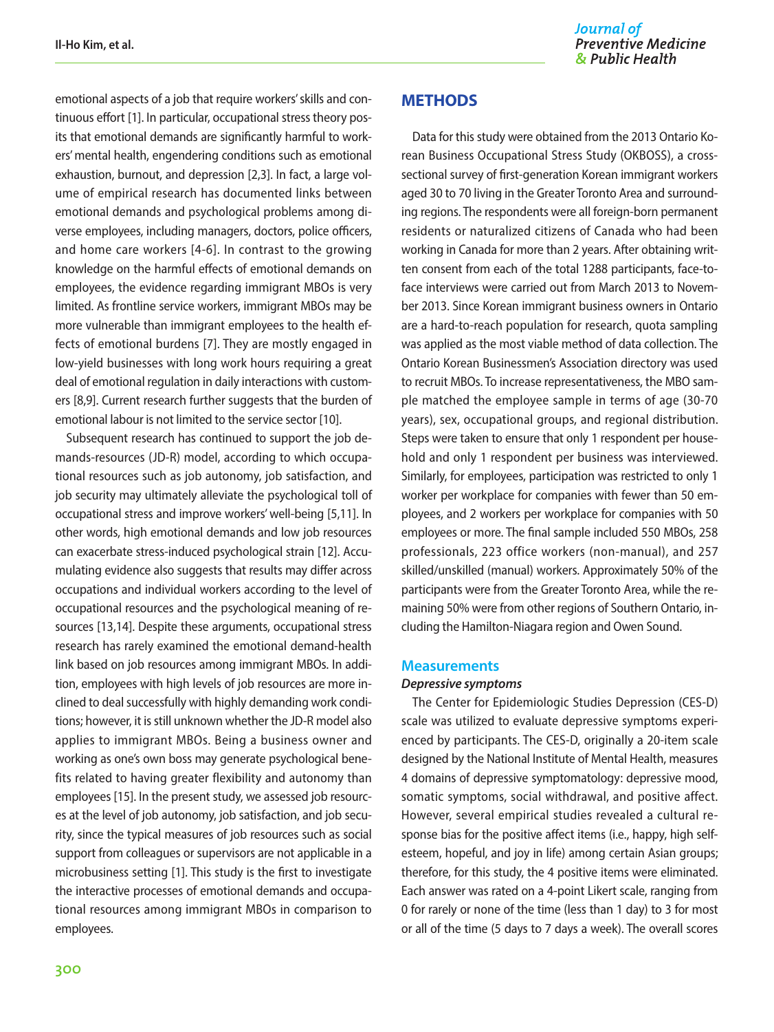emotional aspects of a job that require workers' skills and continuous effort [1]. In particular, occupational stress theory posits that emotional demands are significantly harmful to workers' mental health, engendering conditions such as emotional exhaustion, burnout, and depression [2,3]. In fact, a large volume of empirical research has documented links between emotional demands and psychological problems among diverse employees, including managers, doctors, police officers, and home care workers [4-6]. In contrast to the growing knowledge on the harmful effects of emotional demands on employees, the evidence regarding immigrant MBOs is very limited. As frontline service workers, immigrant MBOs may be more vulnerable than immigrant employees to the health effects of emotional burdens [7]. They are mostly engaged in low-yield businesses with long work hours requiring a great deal of emotional regulation in daily interactions with customers [8,9]. Current research further suggests that the burden of emotional labour is not limited to the service sector [10].

Subsequent research has continued to support the job demands-resources (JD-R) model, according to which occupational resources such as job autonomy, job satisfaction, and job security may ultimately alleviate the psychological toll of occupational stress and improve workers' well-being [5,11]. In other words, high emotional demands and low job resources can exacerbate stress-induced psychological strain [12]. Accumulating evidence also suggests that results may differ across occupations and individual workers according to the level of occupational resources and the psychological meaning of resources [13,14]. Despite these arguments, occupational stress research has rarely examined the emotional demand-health link based on job resources among immigrant MBOs. In addition, employees with high levels of job resources are more inclined to deal successfully with highly demanding work conditions; however, it is still unknown whether the JD-R model also applies to immigrant MBOs. Being a business owner and working as one's own boss may generate psychological benefits related to having greater flexibility and autonomy than employees [15]. In the present study, we assessed job resources at the level of job autonomy, job satisfaction, and job security, since the typical measures of job resources such as social support from colleagues or supervisors are not applicable in a microbusiness setting [1]. This study is the first to investigate the interactive processes of emotional demands and occupational resources among immigrant MBOs in comparison to employees.

#### **METHODS**

Data for this study were obtained from the 2013 Ontario Korean Business Occupational Stress Study (OKBOSS), a crosssectional survey of first-generation Korean immigrant workers aged 30 to 70 living in the Greater Toronto Area and surrounding regions. The respondents were all foreign-born permanent residents or naturalized citizens of Canada who had been working in Canada for more than 2 years. After obtaining written consent from each of the total 1288 participants, face-toface interviews were carried out from March 2013 to November 2013. Since Korean immigrant business owners in Ontario are a hard-to-reach population for research, quota sampling was applied as the most viable method of data collection. The Ontario Korean Businessmen's Association directory was used to recruit MBOs. To increase representativeness, the MBO sample matched the employee sample in terms of age (30-70 years), sex, occupational groups, and regional distribution. Steps were taken to ensure that only 1 respondent per household and only 1 respondent per business was interviewed. Similarly, for employees, participation was restricted to only 1 worker per workplace for companies with fewer than 50 employees, and 2 workers per workplace for companies with 50 employees or more. The final sample included 550 MBOs, 258 professionals, 223 office workers (non-manual), and 257 skilled/unskilled (manual) workers. Approximately 50% of the participants were from the Greater Toronto Area, while the remaining 50% were from other regions of Southern Ontario, including the Hamilton-Niagara region and Owen Sound.

#### **Measurements**

#### *Depressive symptoms*

The Center for Epidemiologic Studies Depression (CES-D) scale was utilized to evaluate depressive symptoms experienced by participants. The CES-D, originally a 20-item scale designed by the National Institute of Mental Health, measures 4 domains of depressive symptomatology: depressive mood, somatic symptoms, social withdrawal, and positive affect. However, several empirical studies revealed a cultural response bias for the positive affect items (i.e., happy, high selfesteem, hopeful, and joy in life) among certain Asian groups; therefore, for this study, the 4 positive items were eliminated. Each answer was rated on a 4-point Likert scale, ranging from 0 for rarely or none of the time (less than 1 day) to 3 for most or all of the time (5 days to 7 days a week). The overall scores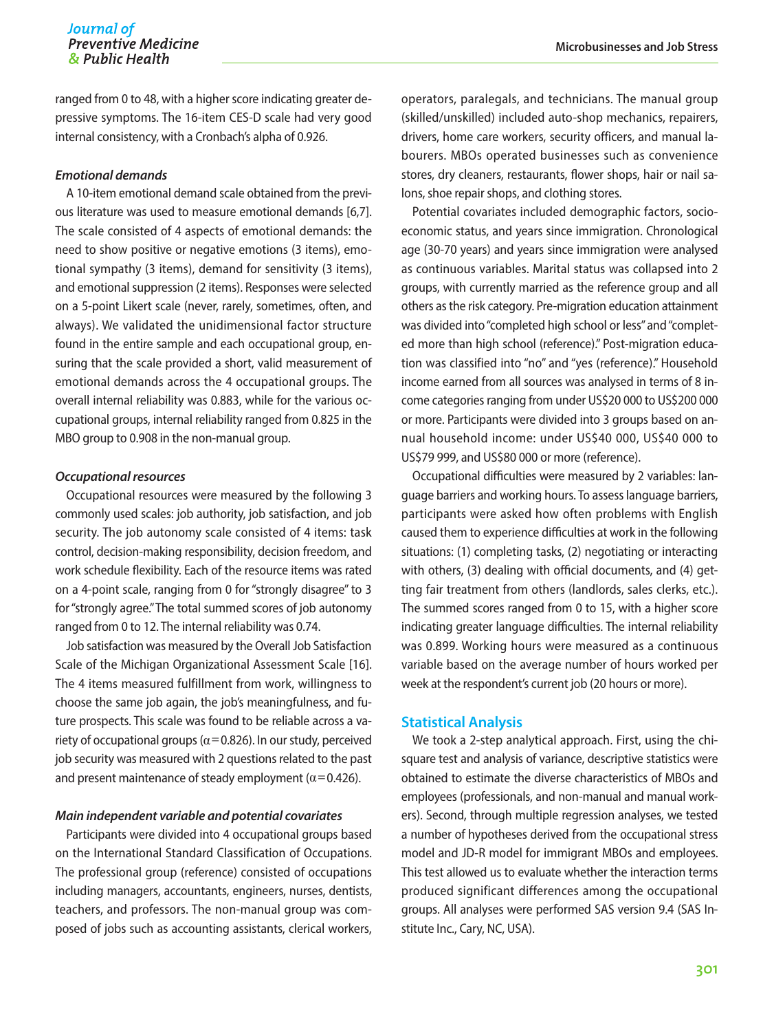ranged from 0 to 48, with a higher score indicating greater depressive symptoms. The 16-item CES-D scale had very good internal consistency, with a Cronbach's alpha of 0.926.

#### *Emotional demands*

A 10-item emotional demand scale obtained from the previous literature was used to measure emotional demands [6,7]. The scale consisted of 4 aspects of emotional demands: the need to show positive or negative emotions (3 items), emotional sympathy (3 items), demand for sensitivity (3 items), and emotional suppression (2 items). Responses were selected on a 5-point Likert scale (never, rarely, sometimes, often, and always). We validated the unidimensional factor structure found in the entire sample and each occupational group, ensuring that the scale provided a short, valid measurement of emotional demands across the 4 occupational groups. The overall internal reliability was 0.883, while for the various occupational groups, internal reliability ranged from 0.825 in the MBO group to 0.908 in the non-manual group.

#### *Occupational resources*

Occupational resources were measured by the following 3 commonly used scales: job authority, job satisfaction, and job security. The job autonomy scale consisted of 4 items: task control, decision-making responsibility, decision freedom, and work schedule flexibility. Each of the resource items was rated on a 4-point scale, ranging from 0 for "strongly disagree" to 3 for "strongly agree." The total summed scores of job autonomy ranged from 0 to 12. The internal reliability was 0.74.

Job satisfaction was measured by the Overall Job Satisfaction Scale of the Michigan Organizational Assessment Scale [16]. The 4 items measured fulfillment from work, willingness to choose the same job again, the job's meaningfulness, and future prospects. This scale was found to be reliable across a variety of occupational groups ( $\alpha$ =0.826). In our study, perceived job security was measured with 2 questions related to the past and present maintenance of steady employment ( $\alpha$ =0.426).

#### *Main independent variable and potential covariates*

Participants were divided into 4 occupational groups based on the International Standard Classification of Occupations. The professional group (reference) consisted of occupations including managers, accountants, engineers, nurses, dentists, teachers, and professors. The non-manual group was composed of jobs such as accounting assistants, clerical workers,

operators, paralegals, and technicians. The manual group (skilled/unskilled) included auto-shop mechanics, repairers, drivers, home care workers, security officers, and manual labourers. MBOs operated businesses such as convenience stores, dry cleaners, restaurants, flower shops, hair or nail salons, shoe repair shops, and clothing stores.

Potential covariates included demographic factors, socioeconomic status, and years since immigration. Chronological age (30-70 years) and years since immigration were analysed as continuous variables. Marital status was collapsed into 2 groups, with currently married as the reference group and all others as the risk category. Pre-migration education attainment was divided into "completed high school or less" and "completed more than high school (reference)." Post-migration education was classified into "no" and "yes (reference)." Household income earned from all sources was analysed in terms of 8 income categories ranging from under US\$20 000 to US\$200 000 or more. Participants were divided into 3 groups based on annual household income: under US\$40 000, US\$40 000 to US\$79 999, and US\$80 000 or more (reference).

Occupational difficulties were measured by 2 variables: language barriers and working hours. To assess language barriers, participants were asked how often problems with English caused them to experience difficulties at work in the following situations: (1) completing tasks, (2) negotiating or interacting with others, (3) dealing with official documents, and (4) getting fair treatment from others (landlords, sales clerks, etc.). The summed scores ranged from 0 to 15, with a higher score indicating greater language difficulties. The internal reliability was 0.899. Working hours were measured as a continuous variable based on the average number of hours worked per week at the respondent's current job (20 hours or more).

#### **Statistical Analysis**

We took a 2-step analytical approach. First, using the chisquare test and analysis of variance, descriptive statistics were obtained to estimate the diverse characteristics of MBOs and employees (professionals, and non-manual and manual workers). Second, through multiple regression analyses, we tested a number of hypotheses derived from the occupational stress model and JD-R model for immigrant MBOs and employees. This test allowed us to evaluate whether the interaction terms produced significant differences among the occupational groups. All analyses were performed SAS version 9.4 (SAS Institute Inc., Cary, NC, USA).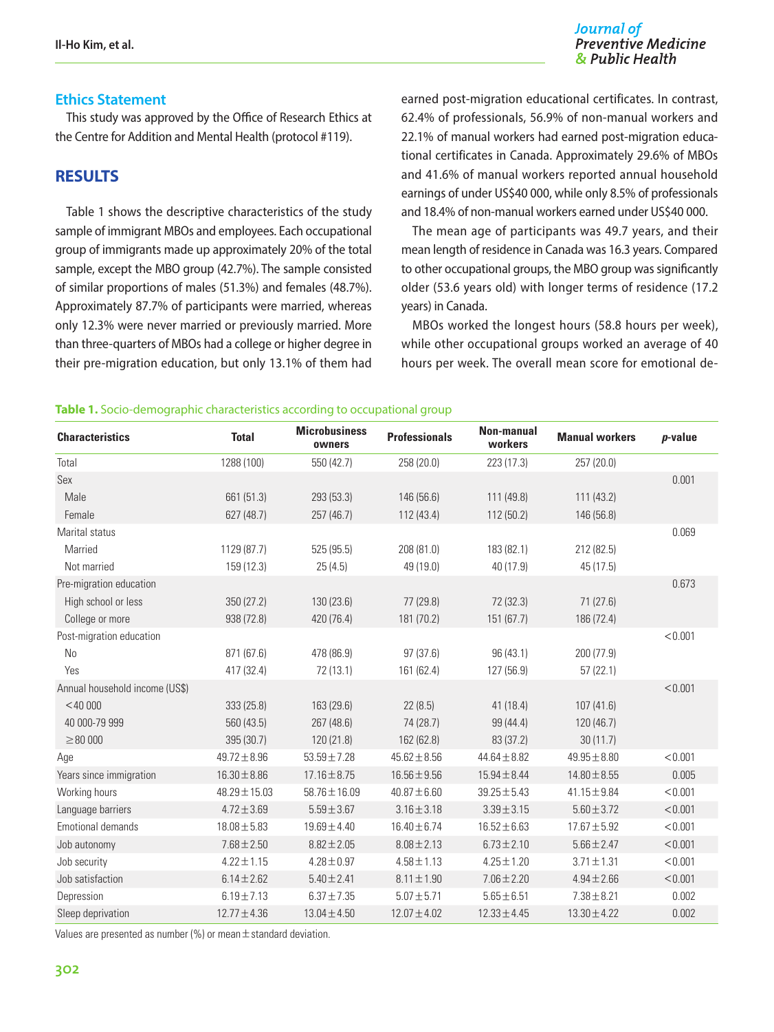#### Journal of **Preventive Medicine** & Public Health

## **Ethics Statement**

This study was approved by the Office of Research Ethics at the Centre for Addition and Mental Health (protocol #119).

## **RESULTS**

Table 1 shows the descriptive characteristics of the study sample of immigrant MBOs and employees. Each occupational group of immigrants made up approximately 20% of the total sample, except the MBO group (42.7%). The sample consisted of similar proportions of males (51.3%) and females (48.7%). Approximately 87.7% of participants were married, whereas only 12.3% were never married or previously married. More than three-quarters of MBOs had a college or higher degree in their pre-migration education, but only 13.1% of them had earned post-migration educational certificates. In contrast, 62.4% of professionals, 56.9% of non-manual workers and 22.1% of manual workers had earned post-migration educational certificates in Canada. Approximately 29.6% of MBOs and 41.6% of manual workers reported annual household earnings of under US\$40 000, while only 8.5% of professionals and 18.4% of non-manual workers earned under US\$40 000.

The mean age of participants was 49.7 years, and their mean length of residence in Canada was 16.3 years. Compared to other occupational groups, the MBO group was significantly older (53.6 years old) with longer terms of residence (17.2 years) in Canada.

MBOs worked the longest hours (58.8 hours per week), while other occupational groups worked an average of 40 hours per week. The overall mean score for emotional de-

#### **Table 1.** Socio-demographic characteristics according to occupational group

| <b>Characteristics</b>         | <b>Total</b>      | <b>Microbusiness</b><br>owners | <b>Professionals</b> | <b>Non-manual</b><br>workers | <b>Manual workers</b> | <i>p</i> -value |
|--------------------------------|-------------------|--------------------------------|----------------------|------------------------------|-----------------------|-----------------|
| Total                          | 1288 (100)        | 550 (42.7)                     | 258 (20.0)           | 223 (17.3)                   | 257 (20.0)            |                 |
| Sex                            |                   |                                |                      |                              |                       | 0.001           |
| Male                           | 661 (51.3)        | 293 (53.3)                     | 146 (56.6)           | 111 (49.8)                   | 111(43.2)             |                 |
| Female                         | 627 (48.7)        | 257 (46.7)                     | 112 (43.4)           | 112 (50.2)                   | 146 (56.8)            |                 |
| Marital status                 |                   |                                |                      |                              |                       | 0.069           |
| Married                        | 1129 (87.7)       | 525(95.5)                      | 208 (81.0)           | 183 (82.1)                   | 212 (82.5)            |                 |
| Not married                    | 159 (12.3)        | 25(4.5)                        | 49 (19.0)            | 40 (17.9)                    | 45 (17.5)             |                 |
| Pre-migration education        |                   |                                |                      |                              |                       | 0.673           |
| High school or less            | 350 (27.2)        | 130(23.6)                      | 77 (29.8)            | 72 (32.3)                    | 71(27.6)              |                 |
| College or more                | 938 (72.8)        | 420 (76.4)                     | 181 (70.2)           | 151 (67.7)                   | 186 (72.4)            |                 |
| Post-migration education       |                   |                                |                      |                              |                       | < 0.001         |
| N <sub>0</sub>                 | 871 (67.6)        | 478 (86.9)                     | 97(37.6)             | 96 (43.1)                    | 200 (77.9)            |                 |
| Yes                            | 417 (32.4)        | 72(13.1)                       | 161 (62.4)           | 127 (56.9)                   | 57(22.1)              |                 |
| Annual household income (US\$) |                   |                                |                      |                              |                       | < 0.001         |
| $<$ 40 000                     | 333 (25.8)        | 163 (29.6)                     | 22(8.5)              | 41(18.4)                     | 107(41.6)             |                 |
| 40 000-79 999                  | 560 (43.5)        | 267 (48.6)                     | 74 (28.7)            | 99 (44.4)                    | 120 (46.7)            |                 |
| $\geq 80000$                   | 395 (30.7)        | 120(21.8)                      | 162 (62.8)           | 83 (37.2)                    | 30(11.7)              |                 |
| Age                            | $49.72 \pm 8.96$  | $53.59 \pm 7.28$               | $45.62 \pm 8.56$     | $44.64 \pm 8.82$             | $49.95 \pm 8.80$      | < 0.001         |
| Years since immigration        | $16.30 \pm 8.86$  | $17.16 \pm 8.75$               | $16.56 \pm 9.56$     | $15.94 \pm 8.44$             | $14.80 \pm 8.55$      | 0.005           |
| Working hours                  | $48.29 \pm 15.03$ | $58.76 \pm 16.09$              | $40.87 \pm 6.60$     | $39.25 \pm 5.43$             | $41.15 \pm 9.84$      | < 0.001         |
| Language barriers              | $4.72 \pm 3.69$   | $5.59 \pm 3.67$                | $3.16 \pm 3.18$      | $3.39 \pm 3.15$              | $5.60 \pm 3.72$       | < 0.001         |
| <b>Emotional demands</b>       | $18.08 \pm 5.83$  | $19.69 \pm 4.40$               | $16.40 \pm 6.74$     | $16.52 \pm 6.63$             | $17.67 \pm 5.92$      | < 0.001         |
| Job autonomy                   | $7.68 \pm 2.50$   | $8.82 \pm 2.05$                | $8.08 \pm 2.13$      | $6.73 \pm 2.10$              | $5.66 \pm 2.47$       | < 0.001         |
| Job security                   | $4.22 \pm 1.15$   | $4.28 \pm 0.97$                | $4.58 \pm 1.13$      | $4.25 \pm 1.20$              | $3.71 \pm 1.31$       | < 0.001         |
| Job satisfaction               | $6.14 \pm 2.62$   | $5.40 \pm 2.41$                | $8.11 \pm 1.90$      | $7.06 \pm 2.20$              | $4.94 \pm 2.66$       | < 0.001         |
| Depression                     | $6.19 \pm 7.13$   | $6.37 \pm 7.35$                | $5.07 \pm 5.71$      | $5.65 \pm 6.51$              | $7.38 \pm 8.21$       | 0.002           |
| Sleep deprivation              | $12.77 \pm 4.36$  | $13.04 \pm 4.50$               | $12.07 \pm 4.02$     | $12.33 \pm 4.45$             | $13.30 \pm 4.22$      | 0.002           |

Values are presented as number (%) or mean  $\pm$  standard deviation.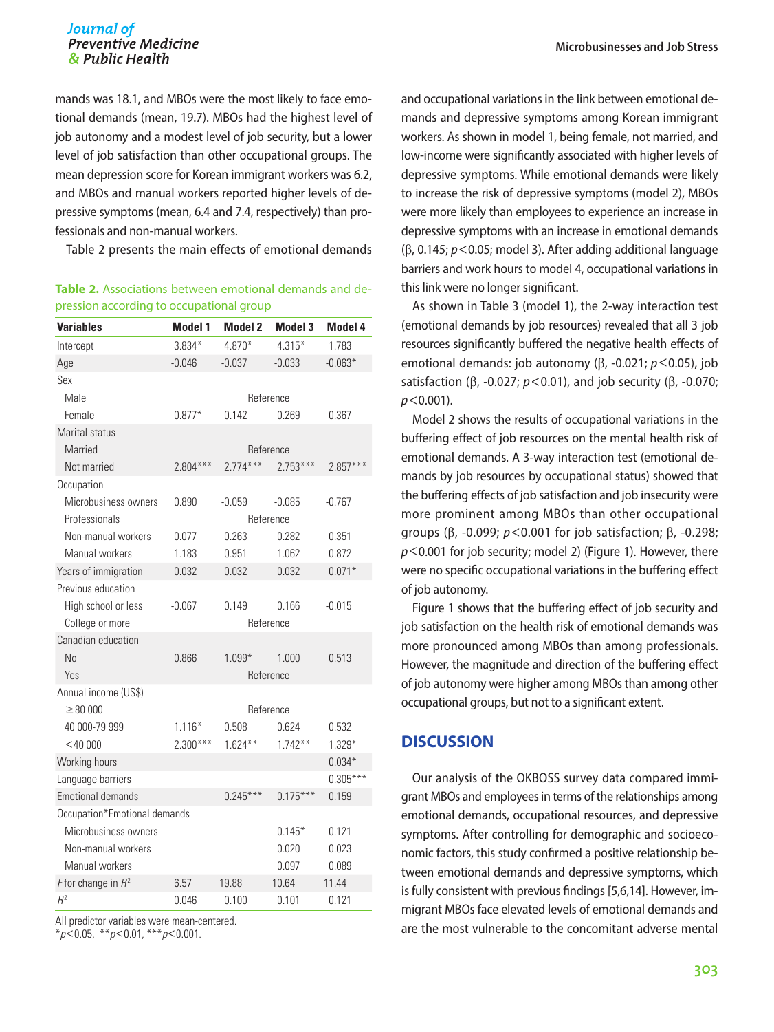mands was 18.1, and MBOs were the most likely to face emotional demands (mean, 19.7). MBOs had the highest level of job autonomy and a modest level of job security, but a lower level of job satisfaction than other occupational groups. The mean depression score for Korean immigrant workers was 6.2, and MBOs and manual workers reported higher levels of depressive symptoms (mean, 6.4 and 7.4, respectively) than professionals and non-manual workers.

Table 2 presents the main effects of emotional demands

| Table 2. Associations between emotional demands and de- |  |  |  |
|---------------------------------------------------------|--|--|--|
| pression according to occupational group                |  |  |  |

| <b>Variables</b>             | <b>Model 1</b> | <b>Model 2</b> | <b>Model 3</b> | Model 4    |  |
|------------------------------|----------------|----------------|----------------|------------|--|
| Intercept                    | $3.834*$       | 4.870*         | $4.315*$       | 1.783      |  |
| Age                          | $-0.046$       | $-0.037$       | $-0.033$       | $-0.063*$  |  |
| Sex                          |                |                |                |            |  |
| Male                         | Reference      |                |                |            |  |
| Female                       | $0.877*$       | 0.142          | 0.269          | 0.367      |  |
| Marital status               |                |                |                |            |  |
| Married                      | Reference      |                |                |            |  |
| Not married                  | $2.804***$     | $2.774***$     | $2.753***$     | $2.857***$ |  |
| Occupation                   |                |                |                |            |  |
| Microbusiness owners         | 0.890          | $-0.059$       | $-0.085$       | -0.767     |  |
| Professionals                | Reference      |                |                |            |  |
| Non-manual workers           | 0.077          | 0.263          | 0.282          | 0.351      |  |
| Manual workers               | 1.183          | 0.951          | 1.062          | 0.872      |  |
| Years of immigration         | 0.032          | 0.032          | 0.032          | $0.071*$   |  |
| Previous education           |                |                |                |            |  |
| High school or less          | $-0.067$       | 0.149          | 0.166          | $-0.015$   |  |
| College or more              |                | Reference      |                |            |  |
| Canadian education           |                |                |                |            |  |
| No                           | 0.866          | $1.099*$       | 1.000          | 0.513      |  |
| Yes                          |                | Reference      |                |            |  |
| Annual income (US\$)         |                |                |                |            |  |
| $\geq 80000$                 |                | Reference      |                |            |  |
| 40 000-79 999                | $1.116*$       | 0.508          | 0.624          | 0.532      |  |
| $<$ 40 000                   | $2.300***$     | $1.624***$     | $1.742**$      | $1.329*$   |  |
| Working hours                |                |                |                | $0.034*$   |  |
| Language barriers            |                |                |                | $0.305***$ |  |
| <b>Emotional demands</b>     |                | $0.245***$     | $0.175***$     | 0.159      |  |
| Occupation*Emotional demands |                |                |                |            |  |
| Microbusiness owners         |                |                | $0.145*$       | 0.121      |  |
| Non-manual workers           |                |                | 0.020          | 0.023      |  |
| Manual workers               |                |                | 0.097          | 0.089      |  |
| F for change in $R^2$        | 6.57           | 19.88          | 10.64          | 11.44      |  |
| $R^2$                        | 0.046          | 0.100          | 0.101          | 0.121      |  |

All predictor variables were mean-centered.

\**p*<0.05, \*\**p*<0.01, \*\*\**p*<0.001.

and occupational variations in the link between emotional demands and depressive symptoms among Korean immigrant workers. As shown in model 1, being female, not married, and low-income were significantly associated with higher levels of depressive symptoms. While emotional demands were likely to increase the risk of depressive symptoms (model 2), MBOs were more likely than employees to experience an increase in depressive symptoms with an increase in emotional demands (β, 0.145; *p*<0.05; model 3). After adding additional language barriers and work hours to model 4, occupational variations in this link were no longer significant.

As shown in Table 3 (model 1), the 2-way interaction test (emotional demands by job resources) revealed that all 3 job resources significantly buffered the negative health effects of emotional demands: job autonomy (β, -0.021; *p*<0.05), job satisfaction (β, -0.027; *p*<0.01), and job security (β, -0.070; *p*<0.001).

Model 2 shows the results of occupational variations in the buffering effect of job resources on the mental health risk of emotional demands. A 3-way interaction test (emotional demands by job resources by occupational status) showed that the buffering effects of job satisfaction and job insecurity were more prominent among MBOs than other occupational groups (β, -0.099; *p*<0.001 for job satisfaction; β, -0.298; *p*<0.001 for job security; model 2) (Figure 1). However, there were no specific occupational variations in the buffering effect of job autonomy.

Figure 1 shows that the buffering effect of job security and job satisfaction on the health risk of emotional demands was more pronounced among MBOs than among professionals. However, the magnitude and direction of the buffering effect of job autonomy were higher among MBOs than among other occupational groups, but not to a significant extent.

### **DISCUSSION**

Our analysis of the OKBOSS survey data compared immigrant MBOs and employees in terms of the relationships among emotional demands, occupational resources, and depressive symptoms. After controlling for demographic and socioeconomic factors, this study confirmed a positive relationship between emotional demands and depressive symptoms, which is fully consistent with previous findings [5,6,14]. However, immigrant MBOs face elevated levels of emotional demands and are the most vulnerable to the concomitant adverse mental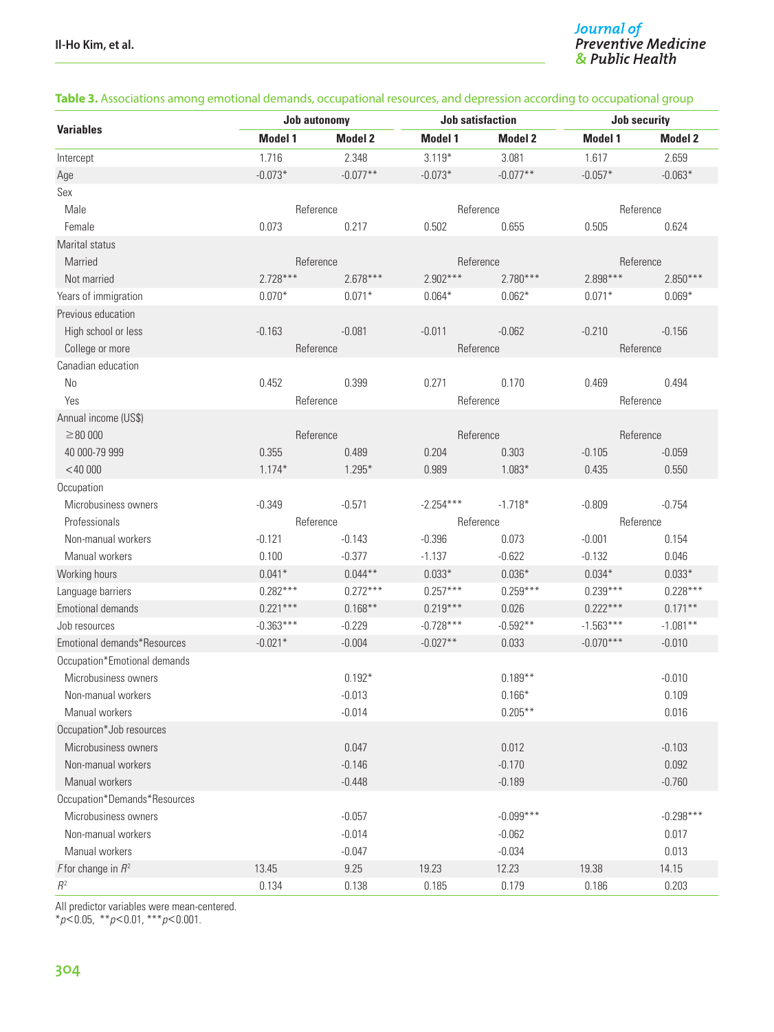#### **Table 3.** Associations among emotional demands, occupational resources, and depression according to occupational group

| <b>Variables</b><br><b>Model 1</b><br><b>Model 2</b><br><b>Model 1</b><br><b>Model 2</b><br><b>Model 1</b><br>1.716<br>$3.119*$<br>2.348<br>3.081<br>1.617<br>Intercept | <b>Model 2</b><br>2.659 |  |
|-------------------------------------------------------------------------------------------------------------------------------------------------------------------------|-------------------------|--|
|                                                                                                                                                                         |                         |  |
|                                                                                                                                                                         |                         |  |
| $-0.077**$<br>$-0.077**$<br>$-0.073*$<br>$-0.073*$<br>$-0.057*$<br>Age                                                                                                  | $-0.063*$               |  |
| Sex                                                                                                                                                                     |                         |  |
| Male<br>Reference<br>Reference<br>Reference                                                                                                                             |                         |  |
| Female<br>0.073<br>0.217<br>0.502<br>0.655<br>0.505                                                                                                                     | 0.624                   |  |
| Marital status                                                                                                                                                          |                         |  |
| Married<br>Reference<br>Reference<br>Reference                                                                                                                          |                         |  |
| $2.728***$<br>$2.678***$<br>$2.902***$<br>$2.780***$<br>2.898***<br>Not married                                                                                         | $2.850***$              |  |
| Years of immigration<br>$0.071*$<br>$0.062*$<br>$0.070*$<br>$0.064*$<br>$0.071*$                                                                                        | $0.069*$                |  |
| Previous education                                                                                                                                                      |                         |  |
| High school or less<br>$-0.163$<br>$-0.081$<br>$-0.011$<br>$-0.062$<br>$-0.210$                                                                                         | $-0.156$                |  |
| College or more<br>Reference<br>Reference<br>Reference                                                                                                                  |                         |  |
| Canadian education                                                                                                                                                      |                         |  |
| No<br>0.452<br>0.399<br>0.271<br>0.170<br>0.469                                                                                                                         | 0.494                   |  |
| Yes<br>Reference<br>Reference<br>Reference                                                                                                                              |                         |  |
| Annual income (US\$)                                                                                                                                                    |                         |  |
| $\geq 80000$<br>Reference<br>Reference<br>Reference                                                                                                                     |                         |  |
| 40 000-79 999<br>0.355<br>0.489<br>0.204<br>0.303<br>$-0.105$                                                                                                           | $-0.059$                |  |
| $<$ 40 000<br>$1.174*$<br>$1.295*$<br>0.989<br>$1.083*$<br>0.435                                                                                                        | 0.550                   |  |
| Occupation                                                                                                                                                              |                         |  |
| Microbusiness owners<br>$-0.349$<br>$-0.571$<br>$-2.254***$<br>$-1.718*$<br>$-0.809$                                                                                    | $-0.754$                |  |
| Reference<br>Reference<br>Professionals<br>Reference                                                                                                                    |                         |  |
| $-0.121$<br>$-0.143$<br>$-0.396$<br>0.073<br>$-0.001$<br>Non-manual workers                                                                                             | 0.154                   |  |
| $-0.377$<br>$-1.137$<br>$-0.622$<br>Manual workers<br>0.100<br>$-0.132$                                                                                                 | 0.046                   |  |
| $0.044**$<br>$0.033*$<br>$0.036*$<br>$0.034*$<br>Working hours<br>$0.041*$                                                                                              | $0.033*$                |  |
| $0.272***$<br>$0.257***$<br>$0.259***$<br>$0.239***$<br>$0.282***$<br>Language barriers                                                                                 | $0.228***$              |  |
| $0.221***$<br>$0.222***$<br>$0.168**$<br>$0.219***$<br>Emotional demands<br>0.026                                                                                       | $0.171***$              |  |
| $-0.363***$<br>$-0.728***$<br>$-0.592**$<br>$-1.563***$<br>$-0.229$<br>Job resources                                                                                    | $-1.081**$              |  |
| $-0.021*$<br>$-0.027**$<br>0.033<br>$-0.070***$<br>Emotional demands*Resources<br>$-0.004$                                                                              | $-0.010$                |  |
| Occupation*Emotional demands                                                                                                                                            |                         |  |
| $0.192*$<br>$0.189**$<br>Microbusiness owners                                                                                                                           | $-0.010$                |  |
| Non-manual workers<br>$-0.013$<br>$0.166*$                                                                                                                              | 0.109                   |  |
| $0.205***$<br>Manual workers<br>$-0.014$                                                                                                                                | 0.016                   |  |
| Occupation*Job resources                                                                                                                                                |                         |  |
| 0.047<br>0.012<br>Microbusiness owners                                                                                                                                  | $-0.103$                |  |
| Non-manual workers<br>$-0.146$<br>$-0.170$                                                                                                                              | 0.092                   |  |
| Manual workers<br>$-0.448$<br>$-0.189$                                                                                                                                  | $-0.760$                |  |
| Occupation*Demands*Resources                                                                                                                                            |                         |  |
| $-0.099***$<br>Microbusiness owners<br>$-0.057$                                                                                                                         | $-0.298***$             |  |
| Non-manual workers<br>$-0.014$<br>$-0.062$                                                                                                                              | 0.017                   |  |
| Manual workers<br>$-0.047$<br>$-0.034$                                                                                                                                  | 0.013                   |  |
| F for change in $R^2$<br>13.45<br>9.25<br>19.23<br>12.23<br>19.38                                                                                                       | 14.15                   |  |
| $\mathbb{R}^2$<br>0.134<br>0.138<br>0.185<br>0.179<br>0.186                                                                                                             | 0.203                   |  |

All predictor variables were mean-centered.

\**p*<0.05, \*\**p*<0.01, \*\*\**p*<0.001.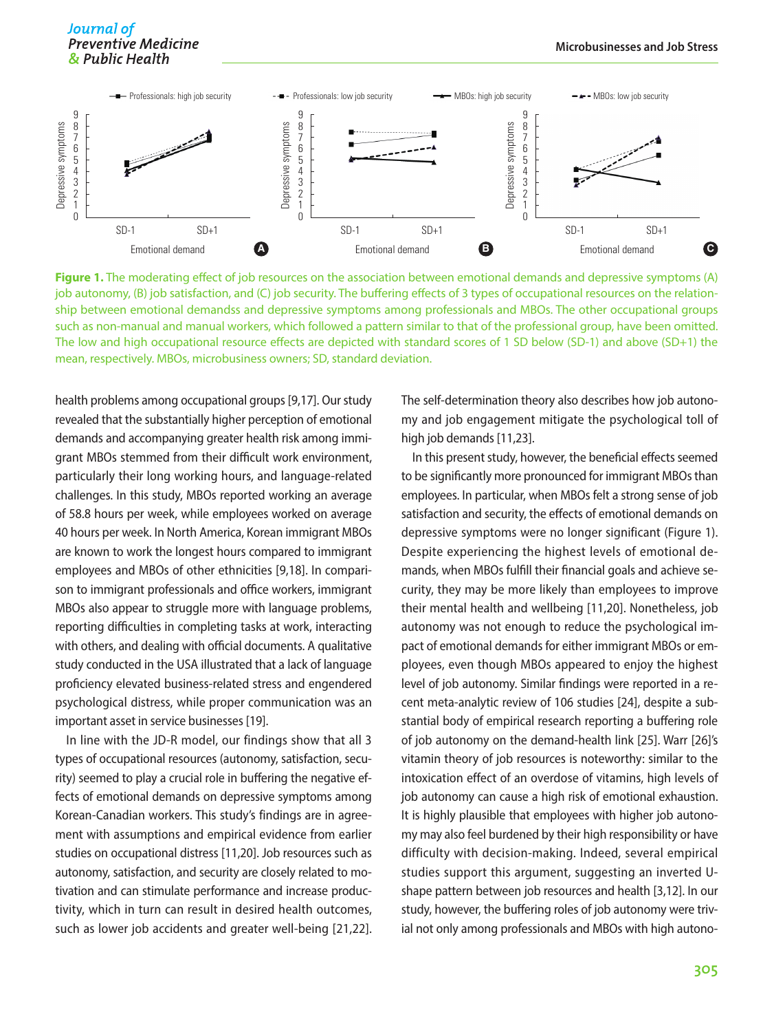

**Figure 1.** The moderating effect of job resources on the association between emotional demands and depressive symptoms (A) job autonomy, (B) job satisfaction, and (C) job security. The buffering effects of 3 types of occupational resources on the relationship between emotional demandss and depressive symptoms among professionals and MBOs. The other occupational groups such as non-manual and manual workers, which followed a pattern similar to that of the professional group, have been omitted. The low and high occupational resource effects are depicted with standard scores of 1 SD below (SD-1) and above (SD+1) the mean, respectively. MBOs, microbusiness owners; SD, standard deviation.

health problems among occupational groups [9,17]. Our study revealed that the substantially higher perception of emotional demands and accompanying greater health risk among immigrant MBOs stemmed from their difficult work environment, particularly their long working hours, and language-related challenges. In this study, MBOs reported working an average of 58.8 hours per week, while employees worked on average 40 hours per week. In North America, Korean immigrant MBOs are known to work the longest hours compared to immigrant employees and MBOs of other ethnicities [9,18]. In comparison to immigrant professionals and office workers, immigrant MBOs also appear to struggle more with language problems, reporting difficulties in completing tasks at work, interacting with others, and dealing with official documents. A qualitative study conducted in the USA illustrated that a lack of language proficiency elevated business-related stress and engendered psychological distress, while proper communication was an important asset in service businesses [19].

In line with the JD-R model, our findings show that all 3 types of occupational resources (autonomy, satisfaction, security) seemed to play a crucial role in buffering the negative effects of emotional demands on depressive symptoms among Korean-Canadian workers. This study's findings are in agreement with assumptions and empirical evidence from earlier studies on occupational distress [11,20]. Job resources such as autonomy, satisfaction, and security are closely related to motivation and can stimulate performance and increase productivity, which in turn can result in desired health outcomes, such as lower job accidents and greater well-being [21,22]. The self-determination theory also describes how job autonomy and job engagement mitigate the psychological toll of high job demands [11,23].

In this present study, however, the beneficial effects seemed to be significantly more pronounced for immigrant MBOs than employees. In particular, when MBOs felt a strong sense of job satisfaction and security, the effects of emotional demands on depressive symptoms were no longer significant (Figure 1). Despite experiencing the highest levels of emotional demands, when MBOs fulfill their financial goals and achieve security, they may be more likely than employees to improve their mental health and wellbeing [11,20]. Nonetheless, job autonomy was not enough to reduce the psychological impact of emotional demands for either immigrant MBOs or employees, even though MBOs appeared to enjoy the highest level of job autonomy. Similar findings were reported in a recent meta-analytic review of 106 studies [24], despite a substantial body of empirical research reporting a buffering role of job autonomy on the demand-health link [25]. Warr [26]'s vitamin theory of job resources is noteworthy: similar to the intoxication effect of an overdose of vitamins, high levels of job autonomy can cause a high risk of emotional exhaustion. It is highly plausible that employees with higher job autonomy may also feel burdened by their high responsibility or have difficulty with decision-making. Indeed, several empirical studies support this argument, suggesting an inverted Ushape pattern between job resources and health [3,12]. In our study, however, the buffering roles of job autonomy were trivial not only among professionals and MBOs with high autono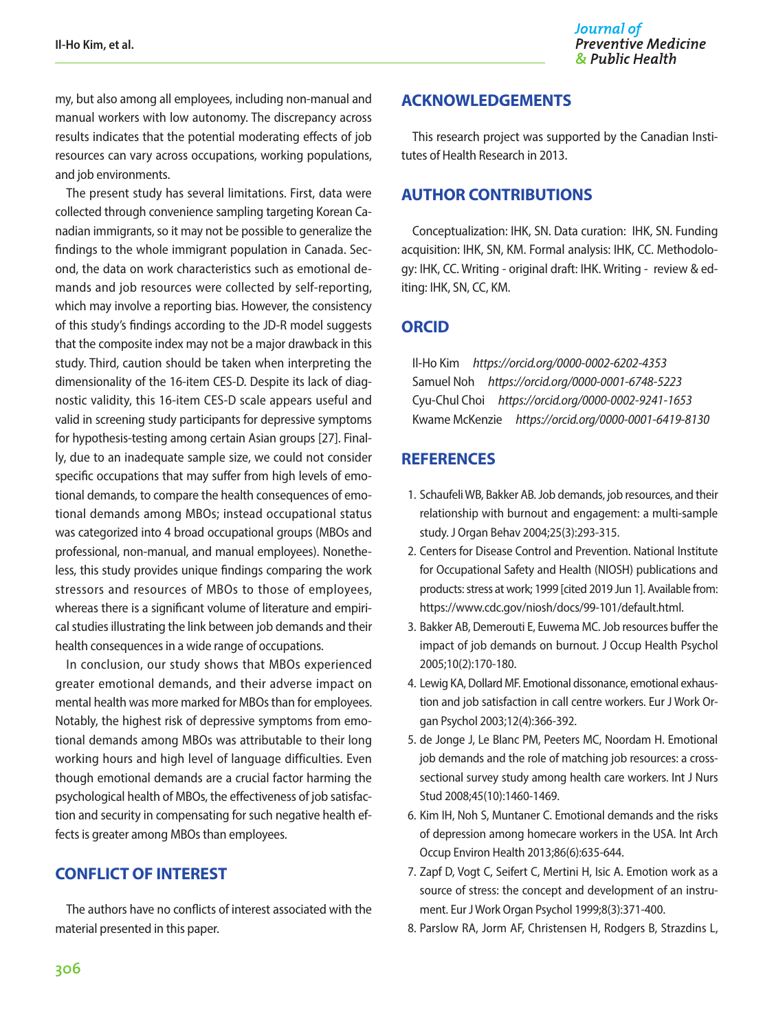my, but also among all employees, including non-manual and manual workers with low autonomy. The discrepancy across results indicates that the potential moderating effects of job resources can vary across occupations, working populations, and job environments.

The present study has several limitations. First, data were collected through convenience sampling targeting Korean Canadian immigrants, so it may not be possible to generalize the findings to the whole immigrant population in Canada. Second, the data on work characteristics such as emotional demands and job resources were collected by self-reporting, which may involve a reporting bias. However, the consistency of this study's findings according to the JD-R model suggests that the composite index may not be a major drawback in this study. Third, caution should be taken when interpreting the dimensionality of the 16-item CES-D. Despite its lack of diagnostic validity, this 16-item CES-D scale appears useful and valid in screening study participants for depressive symptoms for hypothesis-testing among certain Asian groups [27]. Finally, due to an inadequate sample size, we could not consider specific occupations that may suffer from high levels of emotional demands, to compare the health consequences of emotional demands among MBOs; instead occupational status was categorized into 4 broad occupational groups (MBOs and professional, non-manual, and manual employees). Nonetheless, this study provides unique findings comparing the work stressors and resources of MBOs to those of employees, whereas there is a significant volume of literature and empirical studies illustrating the link between job demands and their health consequences in a wide range of occupations.

In conclusion, our study shows that MBOs experienced greater emotional demands, and their adverse impact on mental health was more marked for MBOs than for employees. Notably, the highest risk of depressive symptoms from emotional demands among MBOs was attributable to their long working hours and high level of language difficulties. Even though emotional demands are a crucial factor harming the psychological health of MBOs, the effectiveness of job satisfaction and security in compensating for such negative health effects is greater among MBOs than employees.

## **CONFLICT OF INTEREST**

The authors have no conflicts of interest associated with the material presented in this paper.

## **ACKNOWLEDGEMENTS**

This research project was supported by the Canadian Institutes of Health Research in 2013.

## **AUTHOR CONTRIBUTIONS**

Conceptualization: IHK, SN. Data curation: IHK, SN. Funding acquisition: IHK, SN, KM. Formal analysis: IHK, CC. Methodology: IHK, CC. Writing - original draft: IHK. Writing - review & editing: IHK, SN, CC, KM.

## **ORCID**

Il-Ho Kim *https://orcid.org/0000-0002-6202-4353* Samuel Noh *https://orcid.org/0000-0001-6748-5223* Cyu-Chul Choi *https://orcid.org/0000-0002-9241-1653* Kwame McKenzie *https://orcid.org/0000-0001-6419-8130*

## **REFERENCES**

- 1. Schaufeli WB, Bakker AB. Job demands, job resources, and their relationship with burnout and engagement: a multi‐sample study. J Organ Behav 2004;25(3):293-315.
- 2. Centers for Disease Control and Prevention. National Institute for Occupational Safety and Health (NIOSH) publications and products: stress at work; 1999 [cited 2019 Jun 1]. Available from: https://www.cdc.gov/niosh/docs/99-101/default.html.
- 3. Bakker AB, Demerouti E, Euwema MC. Job resources buffer the impact of job demands on burnout. J Occup Health Psychol 2005;10(2):170-180.
- 4. Lewig KA, Dollard MF. Emotional dissonance, emotional exhaustion and job satisfaction in call centre workers. Eur J Work Organ Psychol 2003;12(4):366-392.
- 5. de Jonge J, Le Blanc PM, Peeters MC, Noordam H. Emotional job demands and the role of matching job resources: a crosssectional survey study among health care workers. Int J Nurs Stud 2008;45(10):1460-1469.
- 6. Kim IH, Noh S, Muntaner C. Emotional demands and the risks of depression among homecare workers in the USA. Int Arch Occup Environ Health 2013;86(6):635-644.
- 7. Zapf D, Vogt C, Seifert C, Mertini H, Isic A. Emotion work as a source of stress: the concept and development of an instrument. Eur J Work Organ Psychol 1999;8(3):371-400.
- 8. Parslow RA, Jorm AF, Christensen H, Rodgers B, Strazdins L,